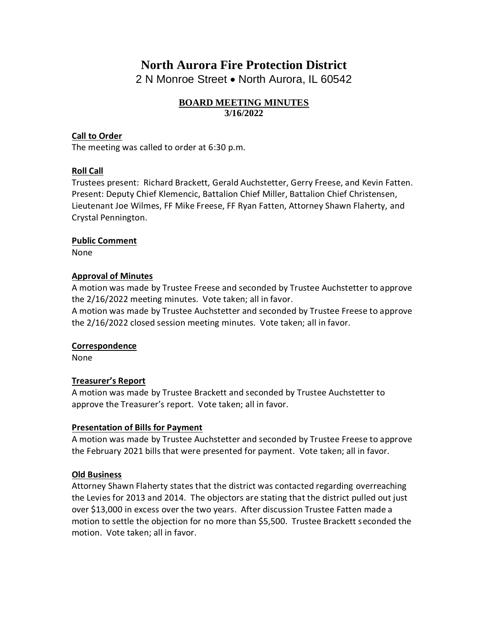# **North Aurora Fire Protection District**

2 N Monroe Street • North Aurora, IL 60542

## **BOARD MEETING MINUTES 3/16/2022**

## **Call to Order**

The meeting was called to order at 6:30 p.m.

## **Roll Call**

Trustees present: Richard Brackett, Gerald Auchstetter, Gerry Freese, and Kevin Fatten. Present: Deputy Chief Klemencic, Battalion Chief Miller, Battalion Chief Christensen, Lieutenant Joe Wilmes, FF Mike Freese, FF Ryan Fatten, Attorney Shawn Flaherty, and Crystal Pennington.

#### **Public Comment**

None

#### **Approval of Minutes**

A motion was made by Trustee Freese and seconded by Trustee Auchstetter to approve the 2/16/2022 meeting minutes. Vote taken; all in favor.

A motion was made by Trustee Auchstetter and seconded by Trustee Freese to approve the 2/16/2022 closed session meeting minutes. Vote taken; all in favor.

#### **Correspondence**

None

#### **Treasurer's Report**

A motion was made by Trustee Brackett and seconded by Trustee Auchstetter to approve the Treasurer's report. Vote taken; all in favor.

#### **Presentation of Bills for Payment**

A motion was made by Trustee Auchstetter and seconded by Trustee Freese to approve the February 2021 bills that were presented for payment. Vote taken; all in favor.

#### **Old Business**

Attorney Shawn Flaherty states that the district was contacted regarding overreaching the Levies for 2013 and 2014. The objectors are stating that the district pulled out just over \$13,000 in excess over the two years. After discussion Trustee Fatten made a motion to settle the objection for no more than \$5,500. Trustee Brackett seconded the motion. Vote taken; all in favor.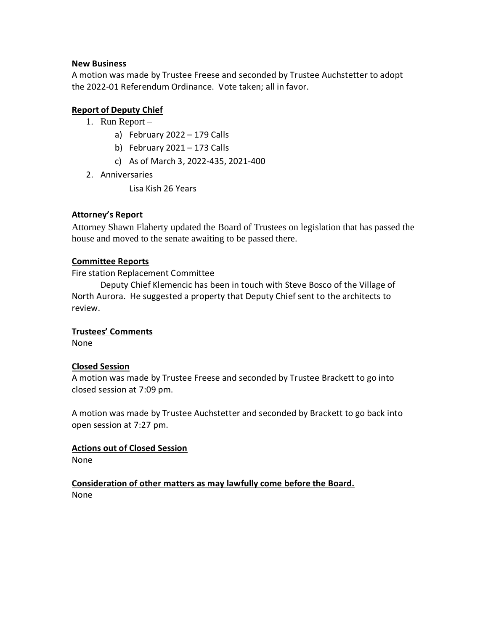#### **New Business**

A motion was made by Trustee Freese and seconded by Trustee Auchstetter to adopt the 2022-01 Referendum Ordinance. Vote taken; all in favor.

# **Report of Deputy Chief**

- 1. Run Report
	- a) February 2022 179 Calls
	- b) February 2021 173 Calls
	- c) As of March 3, 2022-435, 2021-400
- 2. Anniversaries

Lisa Kish 26 Years

## **Attorney's Report**

Attorney Shawn Flaherty updated the Board of Trustees on legislation that has passed the house and moved to the senate awaiting to be passed there.

## **Committee Reports**

Fire station Replacement Committee

Deputy Chief Klemencic has been in touch with Steve Bosco of the Village of North Aurora. He suggested a property that Deputy Chief sent to the architects to review.

#### **Trustees' Comments**

None

#### **Closed Session**

A motion was made by Trustee Freese and seconded by Trustee Brackett to go into closed session at 7:09 pm.

A motion was made by Trustee Auchstetter and seconded by Brackett to go back into open session at 7:27 pm.

## **Actions out of Closed Session**

None

# **Consideration of other matters as may lawfully come before the Board.**

None